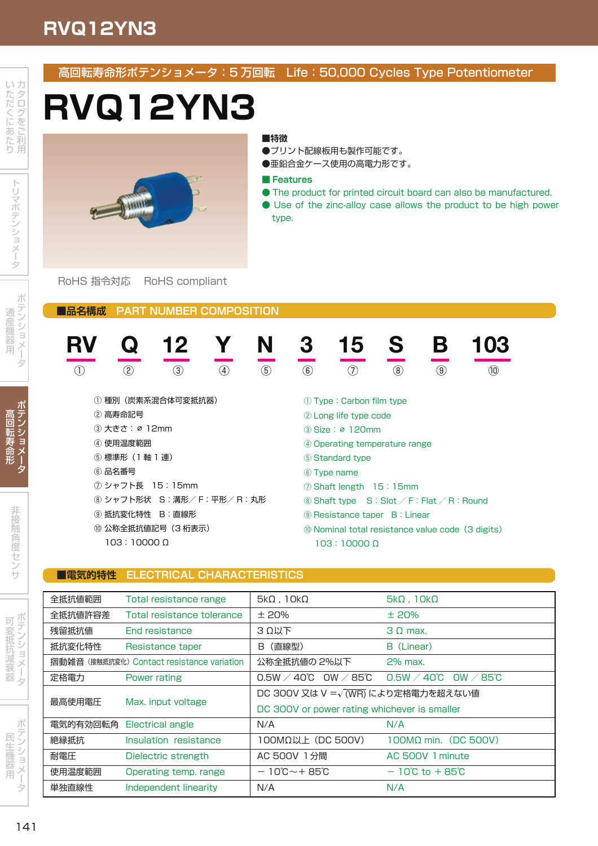# **RVQ12YN3**

ー **Contract Contract Contract Contract Contract Contract Contract Contract Contract Contract Contract Contract Contract Contract Contract Contract Contract Contract Contract Contract Contract Contract Contract Contract Contr** 

テ

マンティング しょうしょう ー and the second control of the second second the second second second second the second second second second second second second second second second second second second second second second second second second second se 用

> テ ン ー アクセス しょうしょう

高 回 ー 寿 命 形

> 非 **State State State State** 角

> > . . . .

\_\_\_\_ 抵 抗 衰 and the second second second and second the second second second second second second second second second second second second second second second second second second second second second second second second second sec

ー **Contract Contract Contract Contract Contract Contract Contract Contract Contract Contract Contract Contract Contract Contract Contract Contract Contract Contract Contract Contract Contract Contract Contract Contract Contr** 

アンティー アンディア アイディング

民

用

ー **Contract Contract Contract Contract Contract Contract Contract Contract Contract Contract Contract Contract Contract Contract Contract Contract Contract Contract Contract Contract Contract Contract Contract Contract Contr**  高回転寿命形ポテンショメータ:5 万回転 Life:50,000 Cycles Type Potentiometer

# **RVQ12YN3**

## **■特徴**

- ●プリント配線板用も製作可能です。
- ●亜鉛合金ケース使用の高電力形です。

### **■ Features**

- The product for printed circuit board can also be manufactured.
- Use of the zinc-alloy case allows the product to be high power type.

RoHS 指令対応 RoHS compliant

**MARITIN** 

**■品名構成 PART NUMBER COMPOSITION**

| RV                      |               | 12            |                   | N                                                                   |                                                   | 15          | S             |               | 103  |
|-------------------------|---------------|---------------|-------------------|---------------------------------------------------------------------|---------------------------------------------------|-------------|---------------|---------------|------|
| $\left(1\right)$        | $\circled{2}$ | $\circled{3}$ | $\left( 4\right)$ | $\circledS$                                                         | $\circled6$                                       | (7)         | $\circled{3}$ | $\circled{9}$ | (10) |
| 種別(炭素系混合体可変抵抗器)<br>(1)  |               |               |                   |                                                                     | (1) Type: Carbon film type                        |             |               |               |      |
| ② 高寿命記号<br>③ 大きさ:ø 12mm |               |               |                   | 2 Long life type code<br>3 Size: ø 120mm                            |                                                   |             |               |               |      |
| ④ 使用温度範囲                |               |               |                   |                                                                     | 4 Operating temperature range                     |             |               |               |      |
| ⑤ 標準形(1軸 1連)            |               |               |                   |                                                                     | (5) Standard type                                 |             |               |               |      |
|                         | ⑥ 品名番号        |               |                   |                                                                     |                                                   | 6 Type name |               |               |      |
| ⑦ シャフト長 15:15mm         |               |               |                   | ⑦ Shaft length 15:15mm                                              |                                                   |             |               |               |      |
| ⑧ シャフト形状 S:溝形/F:平形/R:丸形 |               |               |                   | $\circledR$ Shaft type $S:$ Slot $\angle$ F: Flat $\angle$ R: Round |                                                   |             |               |               |      |
| ⑨ 抵抗変化特性 B:直線形          |               |               |                   | <b>9 Resistance taper B: Linear</b>                                 |                                                   |             |               |               |      |
| ⑩ 公称全抵抗値記号(3桁表示)        |               |               |                   |                                                                     | 10 Nominal total resistance value code (3 digits) |             |               |               |      |
| $103:10000\ \Omega$     |               |               |                   |                                                                     | $103:10000\ \Omega$                               |             |               |               |      |

## **■電気的特性 ELECTRICAL CHARACTERISTICS**

| 全抵抗値範囲                                     | Total resistance range     | $5k\Omega$ , $10k\Omega$                          | $5k\Omega$ , $10k\Omega$                           |  |  |
|--------------------------------------------|----------------------------|---------------------------------------------------|----------------------------------------------------|--|--|
| 全抵抗値許容差                                    | Total resistance tolerance | ±20%                                              | ±20%                                               |  |  |
| 残留抵抗値                                      | <b>End resistance</b>      | 3 Ω以下                                             | 3.0 max.                                           |  |  |
| 抵抗変化特性                                     | Resistance taper           | (直線型)<br>B.                                       | B (Linear)                                         |  |  |
| 摺動雑音 (接触抵抗変化) Contact resistance variation |                            | 公称全抵抗値の 2%以下                                      | 2% max.                                            |  |  |
| 定格電力                                       | Power rating               | OW $\angle$ 85℃<br>$0.5W \times 40^{\circ}$ C     | $0.5W \times 40^{\circ}$ C<br>$\sim$ 0W $\sim$ 85℃ |  |  |
|                                            | Max. input voltage         | DC 300V 又は V = $\sqrt{\text{(WR)}}$ により定格電力を超えない値 |                                                    |  |  |
| 最高使用電圧                                     |                            | DC 300V or power rating whichever is smaller      |                                                    |  |  |
| 電気的有効回転角                                   | Electrical angle           | N/A                                               | N/A                                                |  |  |
| 絶縁抵抗                                       | Insulation resistance      | 100MΩ以上 (DC 500V)                                 | $100M\Omega$ min. (DC 500V)                        |  |  |
| 耐電圧                                        | Dielectric strength        | AC 500V 1分間                                       | AC 500V 1 minute                                   |  |  |
| 使用温度範囲                                     | Operating temp. range      | $-10^{\circ}\text{C} \sim +85^{\circ}\text{C}$    | $-10^{\circ}$ C to $+85^{\circ}$ C                 |  |  |
| 単独直線性                                      | Independent linearity      | N/A                                               | N/A                                                |  |  |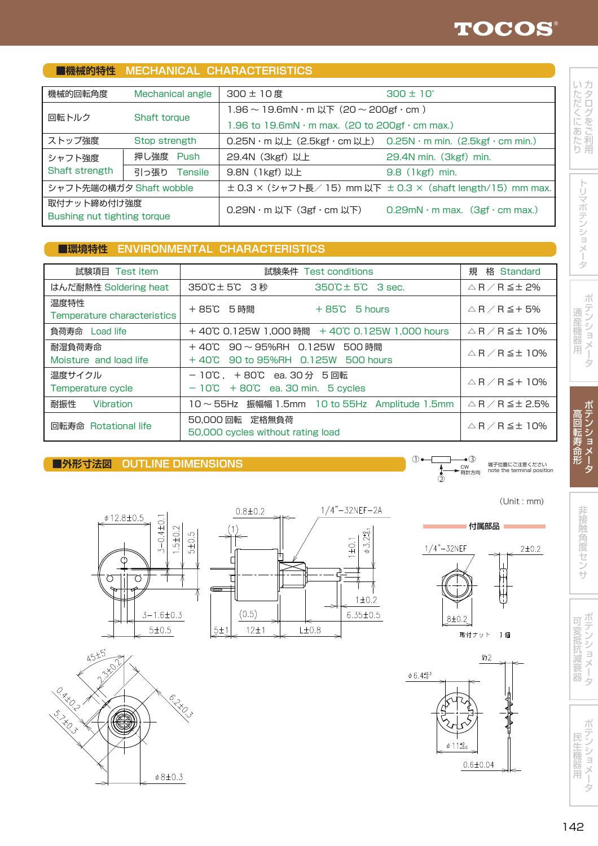#### カ - -*Contract Contract Contract Contract Contract Contract Contract Contract Contract Contract Contract Contract Contract Contract Contract Contract Contract Contract Contract Contract Contract Contract Contract Contract Cont* 利 - ハード た だ くち こうしゃ マー - ニュー・シー あ た

用

り

トラックス しんしょう しんしょう テ

**Contract Contract Contract Contract Contract Contract Contract Contract Contract Contract Contract Contract Contract Contract Contract Contract Contract Contract Contract Contract Contract Contract Contract Contract Contr** 

テ

マンティング しょうしょう ー 用

| T環境特性 ENVIRONMENTAL CHARACTERISTICS |            |                                                    |                                      |
|-------------------------------------|------------|----------------------------------------------------|--------------------------------------|
|                                     |            |                                                    |                                      |
| 試験項目 Test item                      |            | 試験条件 Test conditions                               | 規<br>格 Standard                      |
| はんだ耐熱性 Soldering heat               | 350℃±5℃ 3秒 | $350^{\circ}\text{C} \pm 5^{\circ}\text{C}$ 3 sec. | △R⁄R≦± 2%                            |
| 温度特性<br>Temperature characteristics | +85℃ 5時間   | $+85^{\circ}$ 5 hours                              | $\triangle$ R $\angle$ R $\leq$ + 5% |

0.25N・m 以上(2.5kgf・cm 以上) 0.25N・m min.(2.5kgf・cm min.)

 $\pm$  0.3 × (シャフト長/ 15) mm 以下  $\pm$  0.3 × (shaft length/15) mm max.

0.29N · m 以下 (3gf · cm 以下) 0.29mN · m max. (3gf · cm max.)

300 ± 10 度 300 ± 10° 1.96  $\sim$  19.6mN  $\cdot$  m  $\text{L}\text{F}$  (20  $\sim$  200gf  $\cdot$  cm)

1.96 to 19.6mN  $\cdot$  m max. (20 to 200gf  $\cdot$  cm max.)

9.8N(1kgf) 以上 9.8(1kgf)min.

29.4N (3kgf) 以上 29.4N min. (3kgf) min.

負荷寿命 Load life + 40℃ 0.125W 1,000 時間 + 40℃ 0.125W 1,000 hours  $\angle$  △ R / R ≤ ± 10% 耐湿負荷寿命 + 40℃ 90 ~ 95%RH 0.125W 500 時間 △ R / R ≦± 10% Moisture and load life + 40℃ 90 to 95%RH 0.125W 500 hours 温度サイクル  $- 10$ ℃ , + 80℃ ea. 30 分 5 回転 <br>Temperature cycle  $- 10$ ℃ + 80℃ ea. 30 min. 5 cycles  $\Delta R/R \leq + 10%$ 耐振性 Vibration 10 ~ 55Hz 振幅幅 1.5mm 10 to 55Hz Amplitude 1.5mm △ R / R ≦± 2.5% □転寿命 Rotational life 50,000 回転 定格無負荷 △ R / R ≦± 10%

## **■外形寸法図 OUTLINE DIMENSIONS**

**■機械的特性 MECHANICAL CHARACTERISTICS**

機械的回転角度 Mechanical angle

回転トルク Shaft torque

ストップ強度 Stop strength シャフト強度 押し強度 Push Shaft strength | 引っ張り Tensile シャフト先端の横ガタ Shaft wobble

取付ナット締め付け強度 Bushing nut tighting torque

50,000 cycles without rating load

付属部品









取付ナット

 $1/4$ 





 $1/4 - 32$ NEF

 $8 + 0.2$ 

端子位置にご注意ください note the terminal position

(Unit : mm)

 $2 ± 0.2$ 

**State State State State** 角

非

. . . . **\_\_\_\_\_\_**  $\overline{\phantom{a}}$ 

サ

**Contract Contract Contract Contract Contract Contract Contract Contract Contract Contract Contract Contract Contract Contract Contract Contract Contract Contract Contract Contract Contract Contract Contract Contract Contr** 

アンティー アンディア アイディング

ー **Contract Contract Contract Contract Contract Contract Contract Contract Contract Contract Contract Contract Contract Contract Contract Contract Contract Contract Contract Contract Contract Contract Contract Contract Contr** 

器

民 生 機 器 用